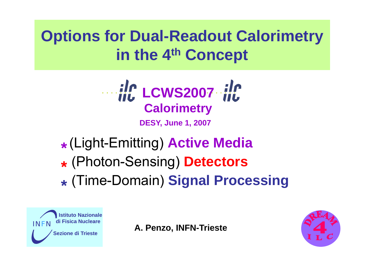**Options for Dual-Readout Calorimetry in the 4th Concept**



**\***(Light-Emitting) **Active Media**  $\star$  (Photon-Sensing) Detect  $\mathbf{V}$ o ton-Sensing ) **D e tec tors \***(Time-Domain ) **Si g g nal Processin**



**A. Penzo, INFN-Trieste** *IN*

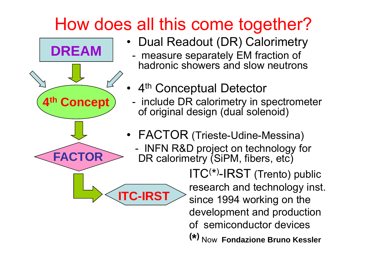## How does all this come together?



- Dual Readout (DR) Calorimetry
	- measure separately EM fraction of hadronic showers and slow neutrons
- 4<sup>th</sup> Conceptual Detector
- **4<sup>th</sup> Concept** ) include DR calorimetry in spectrometer - TIIGIUUE DIN GAIOHITIEU Y III SPECUOHIELE of original design (dual solenoid)
	- FACTOR (Trieste-Udine-Messina) -**FACTOR** - INFN R&D project on technology for<br>
	DR calorimetry (SiPM fibers etc) DR calorimetry (SiPM, fibers, etc) ITC( \*)-IRST (Trento) public **ITC-IRST** Since 1994 working on the development and production of semiconductor devices**( \*)** Now **Fondazione Bruno Kessler**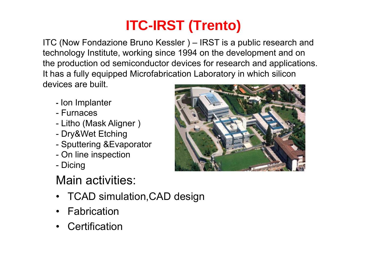### **ITC-IRST (Trento)**

ITC (Now Fondazione Bruno Kessler ) –– IRST is a public research and technology Institute, working since 1994 on the development and on the production od semiconductor devices for research and applications. It has a fully equipped Microfabrication Laboratory in which silicon devices are built.

- Ion Implanter
- Furnaces
- Litho (Mask Aligner )
- Dry&Wet Etching
- Sputtering &Evaporator
- On line ins pection
- **Dicing**

#### Main activities:

- TCAD simulation,CAD design
- •Fabrication
- •**Certification**

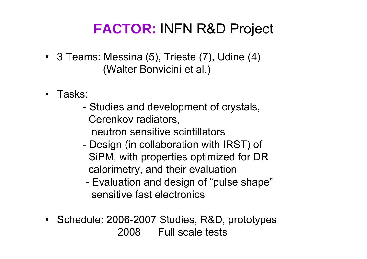#### **FACTOR:** INFN R&D Project

- 3 Teams: Messina (5), Trieste (7), Udine (4) (Walter Bonvicini et al.)
- Tasks:
	- Studies and development of crystals, Cerenkov radiators, neutron sensitive scintillators
	- Design (in collaboration with IRST) of SiPM, with properties optimized for DR calorimetry, and their evaluation
	- - Evaluation and design of "pulse shape" sensitive fast electronics
- Schedule: 2006-2007 Studies, R&D, prototypes 2008 Full scale tests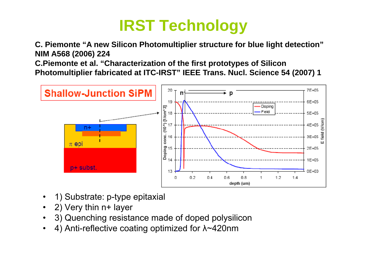## **IRST Technology**

**C. Piemonte "A new Silicon Photomultiplier structure for blue light detection" NIM A568 (2006) 224**

**C.Piemonte et al. "Characterization of the first prototypes of Silicon**  Photomultiplier fabricated at ITC-IRST" IEEE Trans. Nucl. Science 54 (2007) 1



- •1) Substrate: p-type epitaxial
- 2) Very thin n+ layer
- •3) Quenching resistance made of doped polysilicon
- •4) Anti-reflective coating optimized for λ~420nm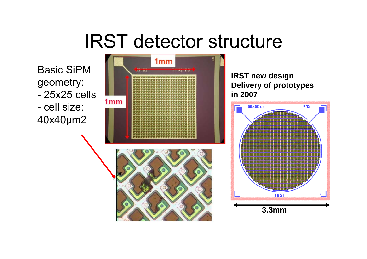# IRST detector structure

Basic SiPM geometry: - 25x25 cells - cell size: 40x40 μm2

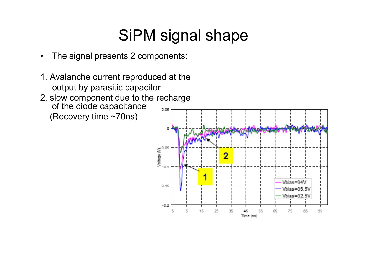#### SiPM signal shape

- •The signal presents 2 components:
- 1. Avalanche current reproduced at the output by parasitic capacitor
- 2. slow component due to the recharge of the diode capacitance 0.05 (Recovery time ~70ns)

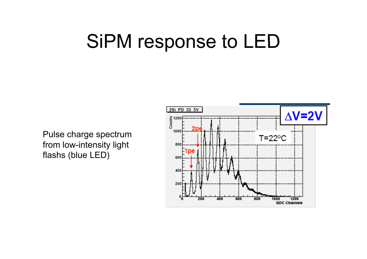# SiPM response to LED

Pulse charge spectrum from low-intensity light flashs (blue LED)

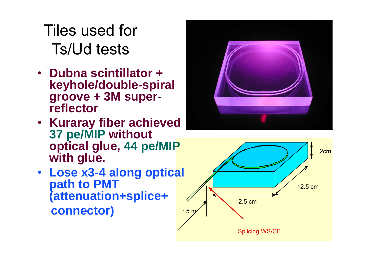Tiles used for Ts/Ud tests

- **D b i till t <sup>+</sup> Dubna scintillator keyhole/double-spiral groove <sup>+</sup> 3M super superreflector**
- **Kuraray fiber achieved 37 pe/MIP without optical glue, 44 pe/MIP with glue glue.**
- **Lose x3-4 along optical path to PMT (attenuation+splice+ connector)**



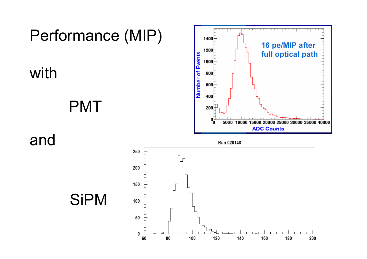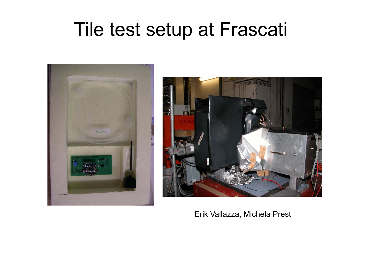# Tile test setup at Frascati





Erik Vallazza, Michela Prest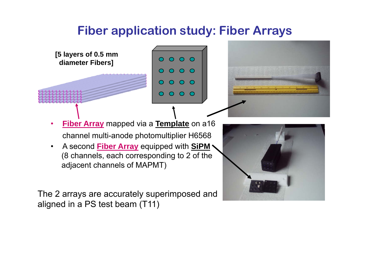#### **Fiber application study: Fiber Arrays**



• A second **Fiber Array** equipped with **SiPM** (8 channels, each corresponding to 2 of the adjacent channels of MAPMT)

The 2 arrays are accurately superimposed and aligned in a PS test beam (T11)

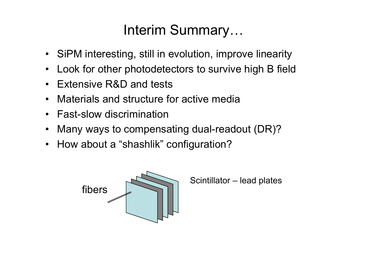#### Interim Summary…

- SiPM interesting, still in evolution, improve linearity
- •• Look for other photodetectors to survive high B field
- $\bullet$ Extensive R&D and tests
- $\bullet$ Materials and structure for active media
- $\bullet$ Fast-slow discrimination
- $\bullet$ • Many ways to compensating dual-readout (DR)?
- How about a "shashlik" configuration?



Scintillator – lead plates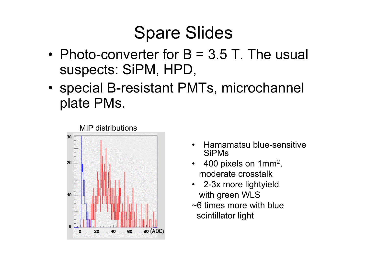## Spare Slides

- Photo-converter for B = 3.5 T. The usual suspects: SiPM, HPD,
- special B-resistant PMTs, microchannel plate PMs.



- • Hamamatsu blue-sensitive SiPMs
- 400 pixels on 1mm<sup>2</sup>, moderate crosstalk
- $\bullet$ 2-3x more lightyield with green WLS
- ~6 times more with blue scintillator light